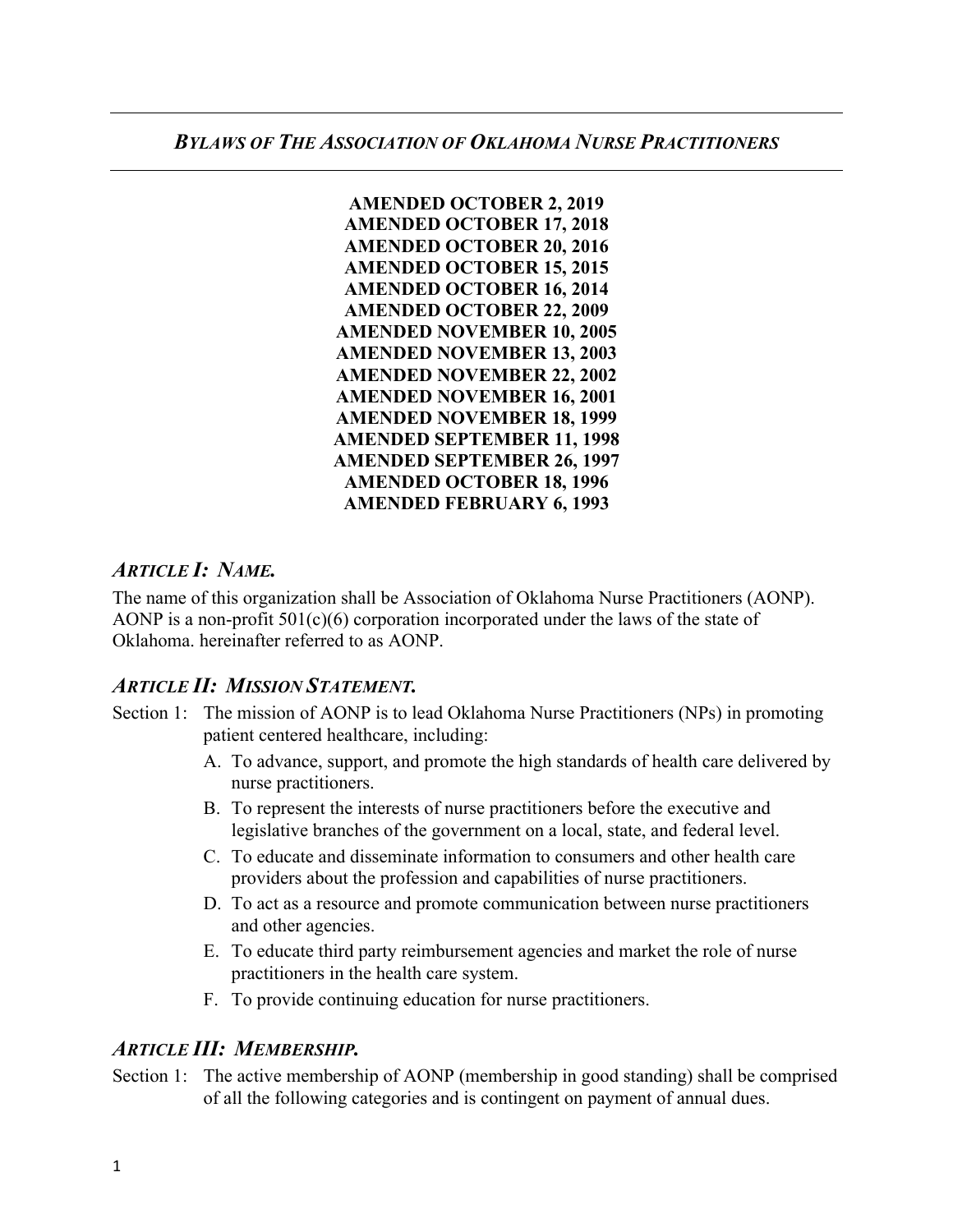

# *ARTICLE I: NAME.*

The name of this organization shall be Association of Oklahoma Nurse Practitioners (AONP). AONP is a non-profit  $501(c)(6)$  corporation incorporated under the laws of the state of Oklahoma. hereinafter referred to as AONP.

# *ARTICLE II: MISSION STATEMENT.*

- Section 1: The mission of AONP is to lead Oklahoma Nurse Practitioners (NPs) in promoting patient centered healthcare, including:
	- A. To advance, support, and promote the high standards of health care delivered by nurse practitioners.
	- B. To represent the interests of nurse practitioners before the executive and legislative branches of the government on a local, state, and federal level.
	- C. To educate and disseminate information to consumers and other health care providers about the profession and capabilities of nurse practitioners.
	- D. To act as a resource and promote communication between nurse practitioners and other agencies.
	- E. To educate third party reimbursement agencies and market the role of nurse practitioners in the health care system.
	- F. To provide continuing education for nurse practitioners.

# *ARTICLE III: MEMBERSHIP.*

Section 1: The active membership of AONP (membership in good standing) shall be comprised of all the following categories and is contingent on payment of annual dues.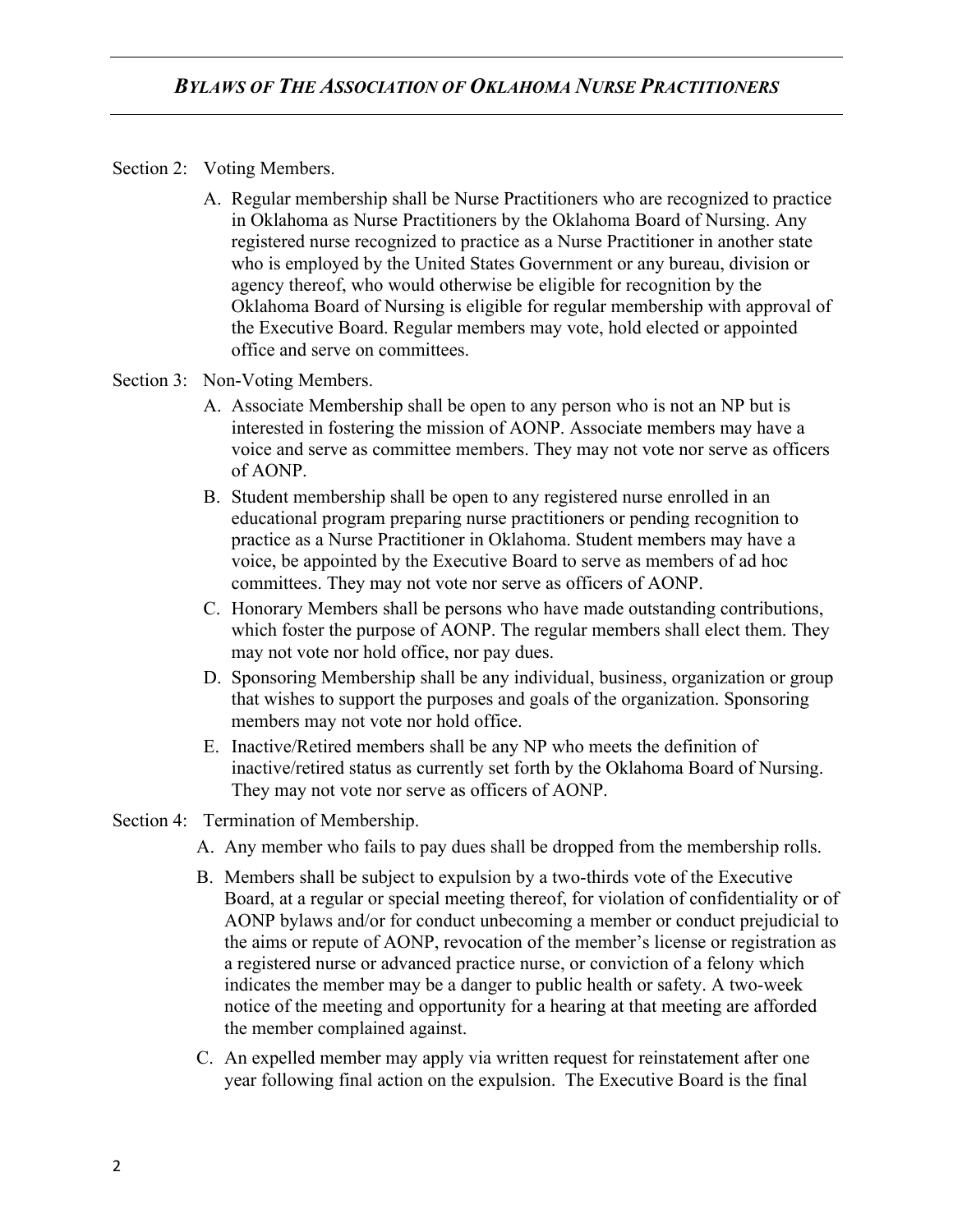#### Section 2: Voting Members.

- A. Regular membership shall be Nurse Practitioners who are recognized to practice in Oklahoma as Nurse Practitioners by the Oklahoma Board of Nursing. Any registered nurse recognized to practice as a Nurse Practitioner in another state who is employed by the United States Government or any bureau, division or agency thereof, who would otherwise be eligible for recognition by the Oklahoma Board of Nursing is eligible for regular membership with approval of the Executive Board. Regular members may vote, hold elected or appointed office and serve on committees.
- Section 3: Non-Voting Members.
	- A. Associate Membership shall be open to any person who is not an NP but is interested in fostering the mission of AONP. Associate members may have a voice and serve as committee members. They may not vote nor serve as officers of AONP.
	- B. Student membership shall be open to any registered nurse enrolled in an educational program preparing nurse practitioners or pending recognition to practice as a Nurse Practitioner in Oklahoma. Student members may have a voice, be appointed by the Executive Board to serve as members of ad hoc committees. They may not vote nor serve as officers of AONP.
	- C. Honorary Members shall be persons who have made outstanding contributions, which foster the purpose of AONP. The regular members shall elect them. They may not vote nor hold office, nor pay dues.
	- D. Sponsoring Membership shall be any individual, business, organization or group that wishes to support the purposes and goals of the organization. Sponsoring members may not vote nor hold office.
	- E. Inactive/Retired members shall be any NP who meets the definition of inactive/retired status as currently set forth by the Oklahoma Board of Nursing. They may not vote nor serve as officers of AONP.
- Section 4: Termination of Membership.
	- A. Any member who fails to pay dues shall be dropped from the membership rolls.
	- B. Members shall be subject to expulsion by a two-thirds vote of the Executive Board, at a regular or special meeting thereof, for violation of confidentiality or of AONP bylaws and/or for conduct unbecoming a member or conduct prejudicial to the aims or repute of AONP, revocation of the member's license or registration as a registered nurse or advanced practice nurse, or conviction of a felony which indicates the member may be a danger to public health or safety. A two-week notice of the meeting and opportunity for a hearing at that meeting are afforded the member complained against.
	- C. An expelled member may apply via written request for reinstatement after one year following final action on the expulsion. The Executive Board is the final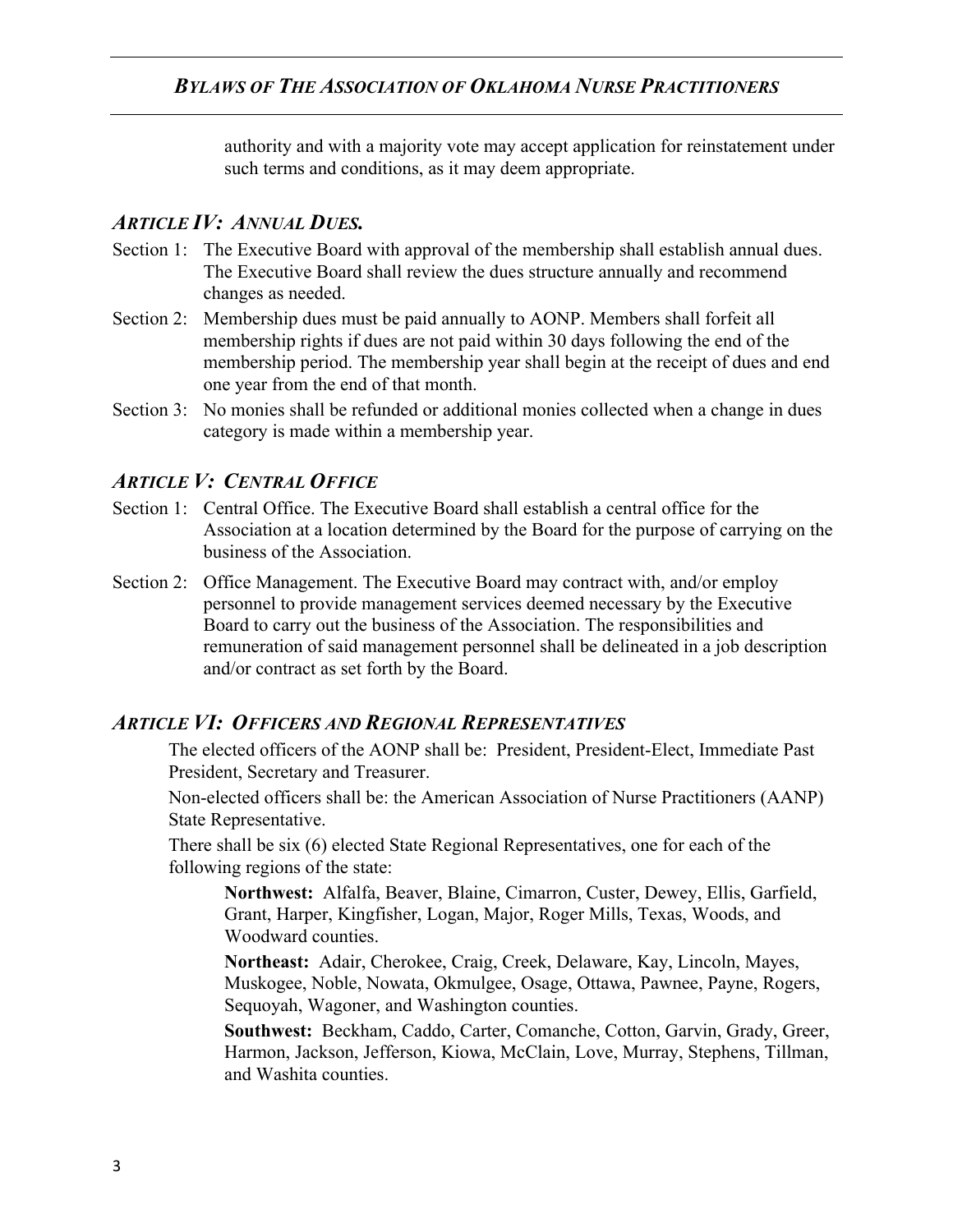authority and with a majority vote may accept application for reinstatement under such terms and conditions, as it may deem appropriate.

### *ARTICLE IV: ANNUAL DUES.*

- Section 1: The Executive Board with approval of the membership shall establish annual dues. The Executive Board shall review the dues structure annually and recommend changes as needed.
- Section 2: Membership dues must be paid annually to AONP. Members shall forfeit all membership rights if dues are not paid within 30 days following the end of the membership period. The membership year shall begin at the receipt of dues and end one year from the end of that month.
- Section 3: No monies shall be refunded or additional monies collected when a change in dues category is made within a membership year.

## *ARTICLE V: CENTRAL OFFICE*

- Section 1: Central Office. The Executive Board shall establish a central office for the Association at a location determined by the Board for the purpose of carrying on the business of the Association.
- Section 2: Office Management. The Executive Board may contract with, and/or employ personnel to provide management services deemed necessary by the Executive Board to carry out the business of the Association. The responsibilities and remuneration of said management personnel shall be delineated in a job description and/or contract as set forth by the Board.

### *ARTICLE VI: OFFICERS AND REGIONAL REPRESENTATIVES*

The elected officers of the AONP shall be: President, President-Elect, Immediate Past President, Secretary and Treasurer.

Non-elected officers shall be: the American Association of Nurse Practitioners (AANP) State Representative.

There shall be six (6) elected State Regional Representatives, one for each of the following regions of the state:

**Northwest:** Alfalfa, Beaver, Blaine, Cimarron, Custer, Dewey, Ellis, Garfield, Grant, Harper, Kingfisher, Logan, Major, Roger Mills, Texas, Woods, and Woodward counties.

**Northeast:** Adair, Cherokee, Craig, Creek, Delaware, Kay, Lincoln, Mayes, Muskogee, Noble, Nowata, Okmulgee, Osage, Ottawa, Pawnee, Payne, Rogers, Sequoyah, Wagoner, and Washington counties.

**Southwest:** Beckham, Caddo, Carter, Comanche, Cotton, Garvin, Grady, Greer, Harmon, Jackson, Jefferson, Kiowa, McClain, Love, Murray, Stephens, Tillman, and Washita counties.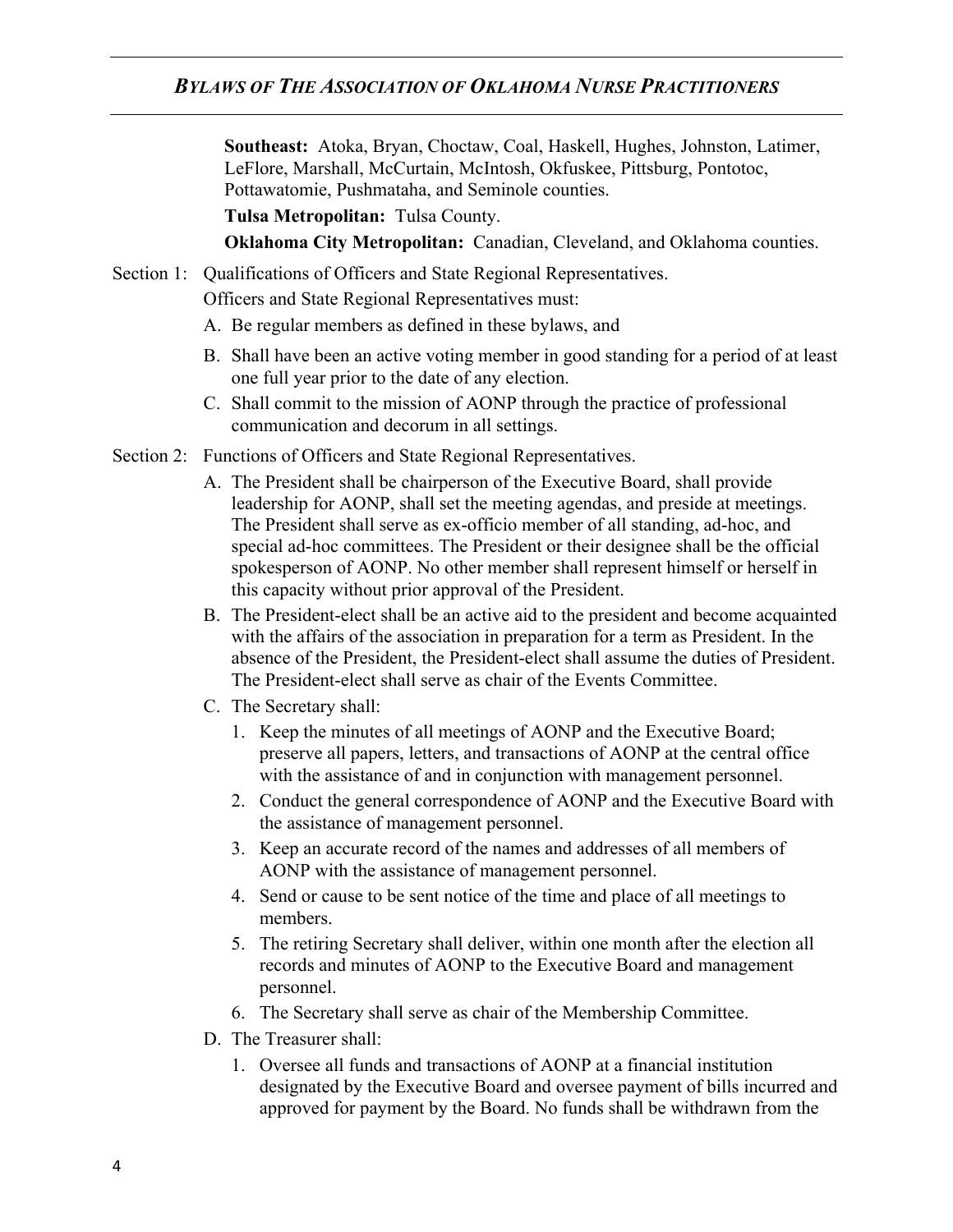**Southeast:** Atoka, Bryan, Choctaw, Coal, Haskell, Hughes, Johnston, Latimer, LeFlore, Marshall, McCurtain, McIntosh, Okfuskee, Pittsburg, Pontotoc, Pottawatomie, Pushmataha, and Seminole counties.

**Tulsa Metropolitan:** Tulsa County.

**Oklahoma City Metropolitan:** Canadian, Cleveland, and Oklahoma counties.

Section 1: Qualifications of Officers and State Regional Representatives.

Officers and State Regional Representatives must:

- A. Be regular members as defined in these bylaws, and
- B. Shall have been an active voting member in good standing for a period of at least one full year prior to the date of any election.
- C. Shall commit to the mission of AONP through the practice of professional communication and decorum in all settings.
- Section 2: Functions of Officers and State Regional Representatives.
	- A. The President shall be chairperson of the Executive Board, shall provide leadership for AONP, shall set the meeting agendas, and preside at meetings. The President shall serve as ex-officio member of all standing, ad-hoc, and special ad-hoc committees. The President or their designee shall be the official spokesperson of AONP. No other member shall represent himself or herself in this capacity without prior approval of the President.
	- B. The President-elect shall be an active aid to the president and become acquainted with the affairs of the association in preparation for a term as President. In the absence of the President, the President-elect shall assume the duties of President. The President-elect shall serve as chair of the Events Committee.
	- C. The Secretary shall:
		- 1. Keep the minutes of all meetings of AONP and the Executive Board; preserve all papers, letters, and transactions of AONP at the central office with the assistance of and in conjunction with management personnel.
		- 2. Conduct the general correspondence of AONP and the Executive Board with the assistance of management personnel.
		- 3. Keep an accurate record of the names and addresses of all members of AONP with the assistance of management personnel.
		- 4. Send or cause to be sent notice of the time and place of all meetings to members.
		- 5. The retiring Secretary shall deliver, within one month after the election all records and minutes of AONP to the Executive Board and management personnel.
		- 6. The Secretary shall serve as chair of the Membership Committee.
	- D. The Treasurer shall:
		- 1. Oversee all funds and transactions of AONP at a financial institution designated by the Executive Board and oversee payment of bills incurred and approved for payment by the Board. No funds shall be withdrawn from the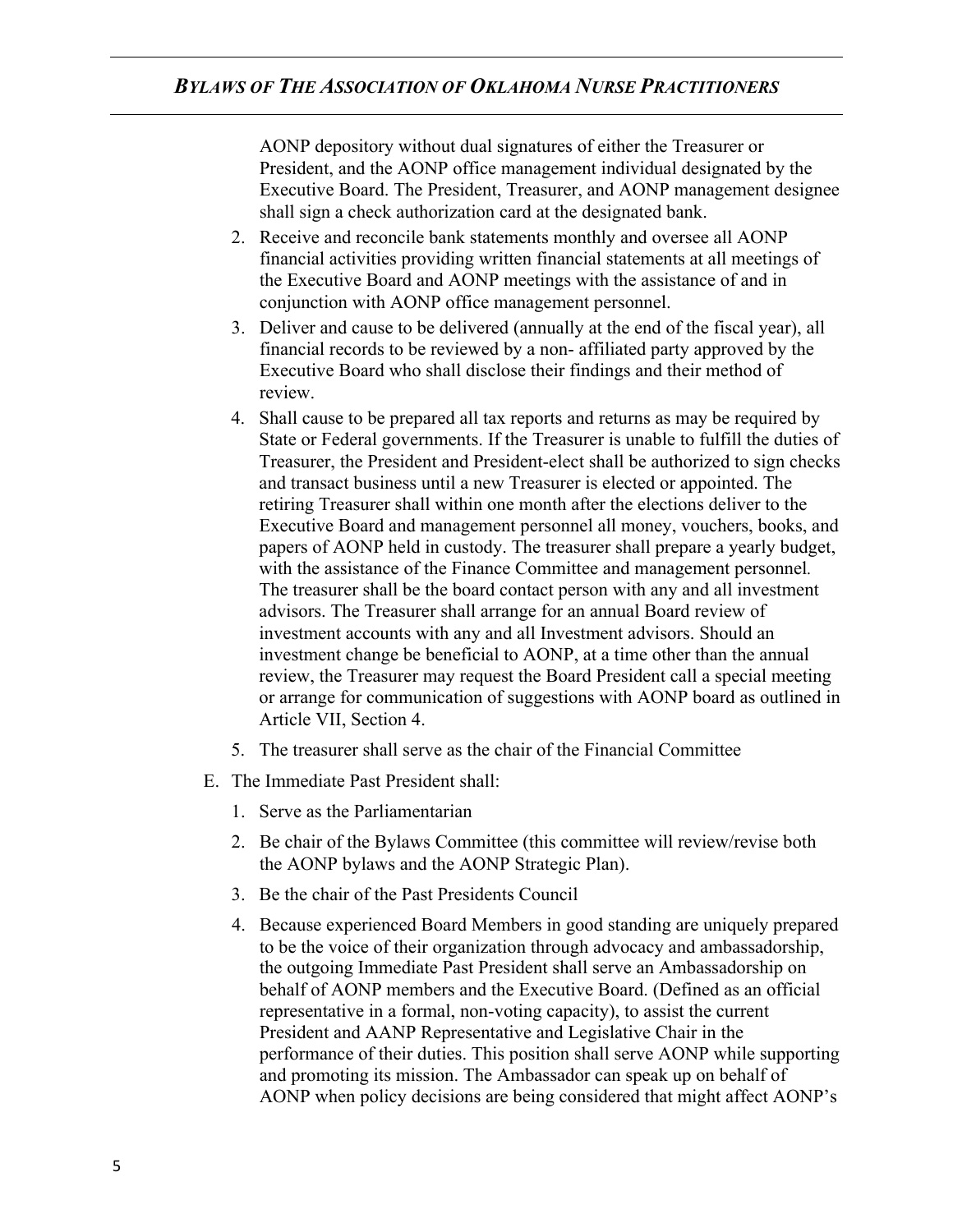AONP depository without dual signatures of either the Treasurer or President, and the AONP office management individual designated by the Executive Board. The President, Treasurer, and AONP management designee shall sign a check authorization card at the designated bank.

- 2. Receive and reconcile bank statements monthly and oversee all AONP financial activities providing written financial statements at all meetings of the Executive Board and AONP meetings with the assistance of and in conjunction with AONP office management personnel.
- 3. Deliver and cause to be delivered (annually at the end of the fiscal year), all financial records to be reviewed by a non- affiliated party approved by the Executive Board who shall disclose their findings and their method of review.
- 4. Shall cause to be prepared all tax reports and returns as may be required by State or Federal governments. If the Treasurer is unable to fulfill the duties of Treasurer, the President and President-elect shall be authorized to sign checks and transact business until a new Treasurer is elected or appointed. The retiring Treasurer shall within one month after the elections deliver to the Executive Board and management personnel all money, vouchers, books, and papers of AONP held in custody. The treasurer shall prepare a yearly budget, with the assistance of the Finance Committee and management personnel*.*  The treasurer shall be the board contact person with any and all investment advisors. The Treasurer shall arrange for an annual Board review of investment accounts with any and all Investment advisors. Should an investment change be beneficial to AONP, at a time other than the annual review, the Treasurer may request the Board President call a special meeting or arrange for communication of suggestions with AONP board as outlined in Article VII, Section 4.
- 5. The treasurer shall serve as the chair of the Financial Committee
- E. The Immediate Past President shall:
	- 1. Serve as the Parliamentarian
	- 2. Be chair of the Bylaws Committee (this committee will review/revise both the AONP bylaws and the AONP Strategic Plan).
	- 3. Be the chair of the Past Presidents Council
	- 4. Because experienced Board Members in good standing are uniquely prepared to be the voice of their organization through advocacy and ambassadorship, the outgoing Immediate Past President shall serve an Ambassadorship on behalf of AONP members and the Executive Board. (Defined as an official representative in a formal, non-voting capacity), to assist the current President and AANP Representative and Legislative Chair in the performance of their duties. This position shall serve AONP while supporting and promoting its mission. The Ambassador can speak up on behalf of AONP when policy decisions are being considered that might affect AONP's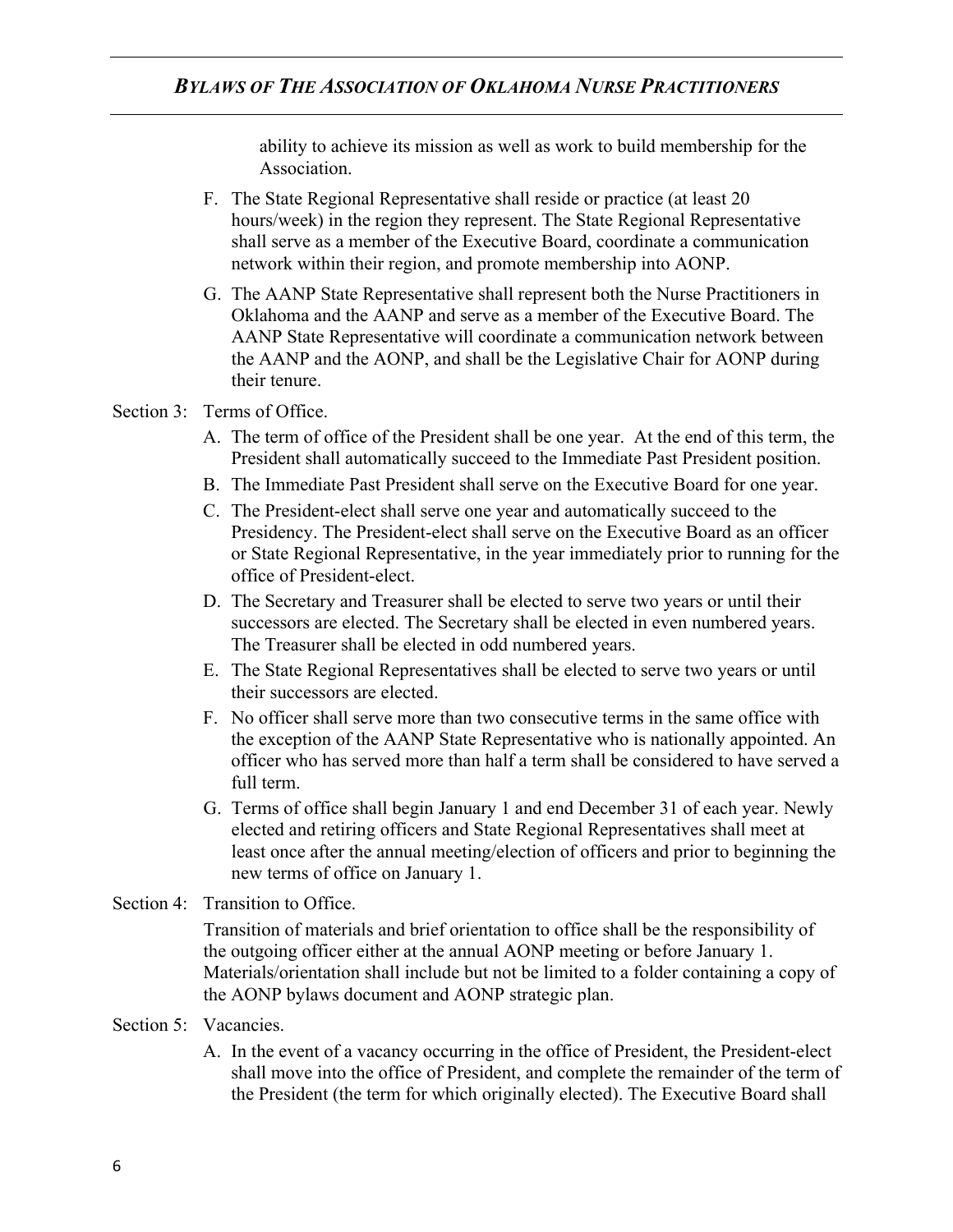ability to achieve its mission as well as work to build membership for the Association.

- F. The State Regional Representative shall reside or practice (at least 20 hours/week) in the region they represent. The State Regional Representative shall serve as a member of the Executive Board, coordinate a communication network within their region, and promote membership into AONP.
- G. The AANP State Representative shall represent both the Nurse Practitioners in Oklahoma and the AANP and serve as a member of the Executive Board. The AANP State Representative will coordinate a communication network between the AANP and the AONP, and shall be the Legislative Chair for AONP during their tenure.

#### Section 3: Terms of Office.

- A. The term of office of the President shall be one year. At the end of this term, the President shall automatically succeed to the Immediate Past President position.
- B. The Immediate Past President shall serve on the Executive Board for one year.
- C. The President-elect shall serve one year and automatically succeed to the Presidency. The President-elect shall serve on the Executive Board as an officer or State Regional Representative, in the year immediately prior to running for the office of President-elect.
- D. The Secretary and Treasurer shall be elected to serve two years or until their successors are elected. The Secretary shall be elected in even numbered years. The Treasurer shall be elected in odd numbered years.
- E. The State Regional Representatives shall be elected to serve two years or until their successors are elected.
- F. No officer shall serve more than two consecutive terms in the same office with the exception of the AANP State Representative who is nationally appointed. An officer who has served more than half a term shall be considered to have served a full term.
- G. Terms of office shall begin January 1 and end December 31 of each year. Newly elected and retiring officers and State Regional Representatives shall meet at least once after the annual meeting/election of officers and prior to beginning the new terms of office on January 1.
- Section 4: Transition to Office.

Transition of materials and brief orientation to office shall be the responsibility of the outgoing officer either at the annual AONP meeting or before January 1. Materials/orientation shall include but not be limited to a folder containing a copy of the AONP bylaws document and AONP strategic plan.

- Section 5: Vacancies.
	- A. In the event of a vacancy occurring in the office of President, the President-elect shall move into the office of President, and complete the remainder of the term of the President (the term for which originally elected). The Executive Board shall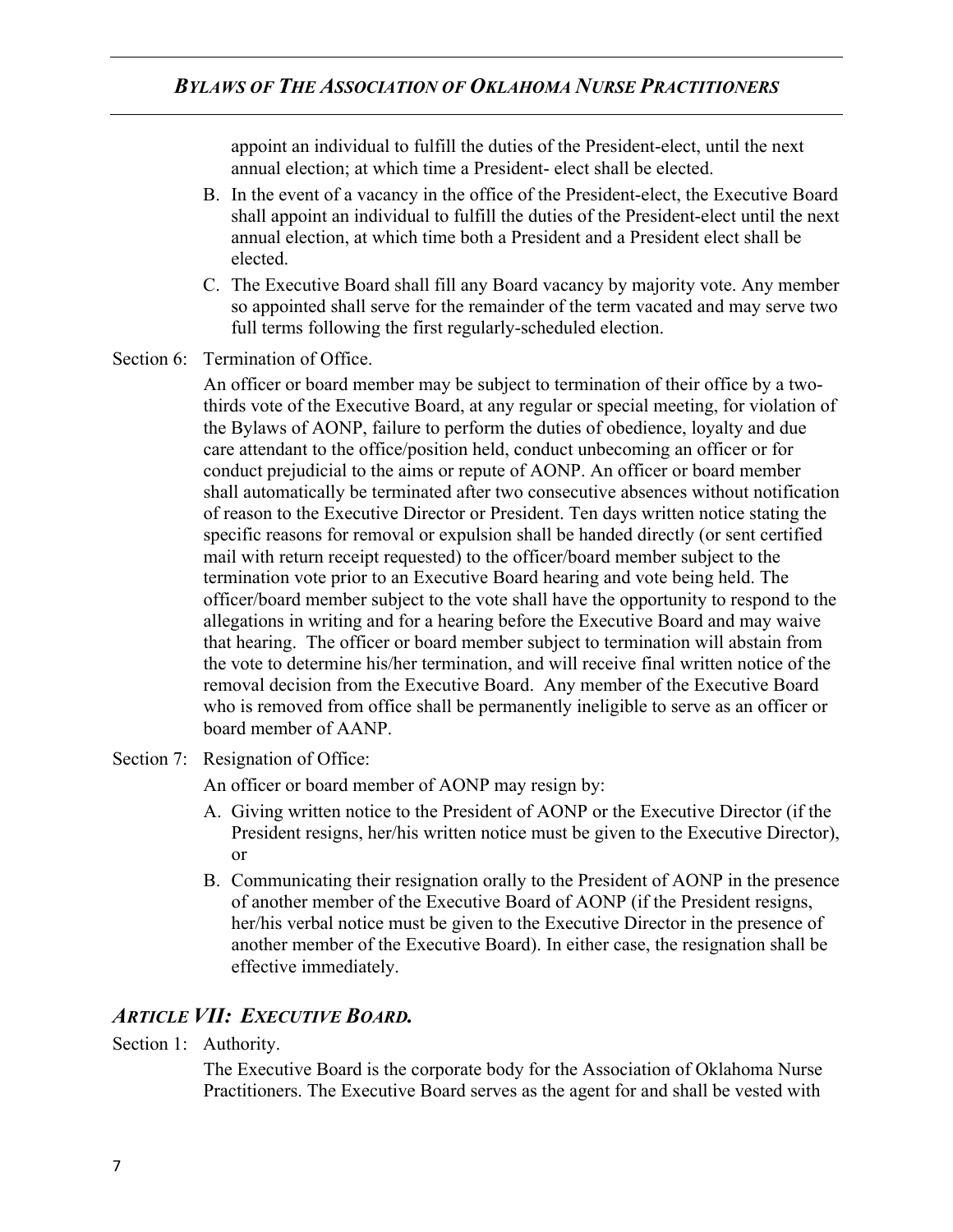appoint an individual to fulfill the duties of the President-elect, until the next annual election; at which time a President- elect shall be elected.

- B. In the event of a vacancy in the office of the President-elect, the Executive Board shall appoint an individual to fulfill the duties of the President-elect until the next annual election, at which time both a President and a President elect shall be elected.
- C. The Executive Board shall fill any Board vacancy by majority vote. Any member so appointed shall serve for the remainder of the term vacated and may serve two full terms following the first regularly-scheduled election.
- Section 6: Termination of Office.

An officer or board member may be subject to termination of their office by a twothirds vote of the Executive Board, at any regular or special meeting, for violation of the Bylaws of AONP, failure to perform the duties of obedience, loyalty and due care attendant to the office/position held, conduct unbecoming an officer or for conduct prejudicial to the aims or repute of AONP. An officer or board member shall automatically be terminated after two consecutive absences without notification of reason to the Executive Director or President. Ten days written notice stating the specific reasons for removal or expulsion shall be handed directly (or sent certified mail with return receipt requested) to the officer/board member subject to the termination vote prior to an Executive Board hearing and vote being held. The officer/board member subject to the vote shall have the opportunity to respond to the allegations in writing and for a hearing before the Executive Board and may waive that hearing. The officer or board member subject to termination will abstain from the vote to determine his/her termination, and will receive final written notice of the removal decision from the Executive Board. Any member of the Executive Board who is removed from office shall be permanently ineligible to serve as an officer or board member of AANP.

Section 7: Resignation of Office:

An officer or board member of AONP may resign by:

- A. Giving written notice to the President of AONP or the Executive Director (if the President resigns, her/his written notice must be given to the Executive Director), or
- B. Communicating their resignation orally to the President of AONP in the presence of another member of the Executive Board of AONP (if the President resigns, her/his verbal notice must be given to the Executive Director in the presence of another member of the Executive Board). In either case, the resignation shall be effective immediately.

## *ARTICLE VII: EXECUTIVE BOARD.*

Section 1: Authority.

The Executive Board is the corporate body for the Association of Oklahoma Nurse Practitioners. The Executive Board serves as the agent for and shall be vested with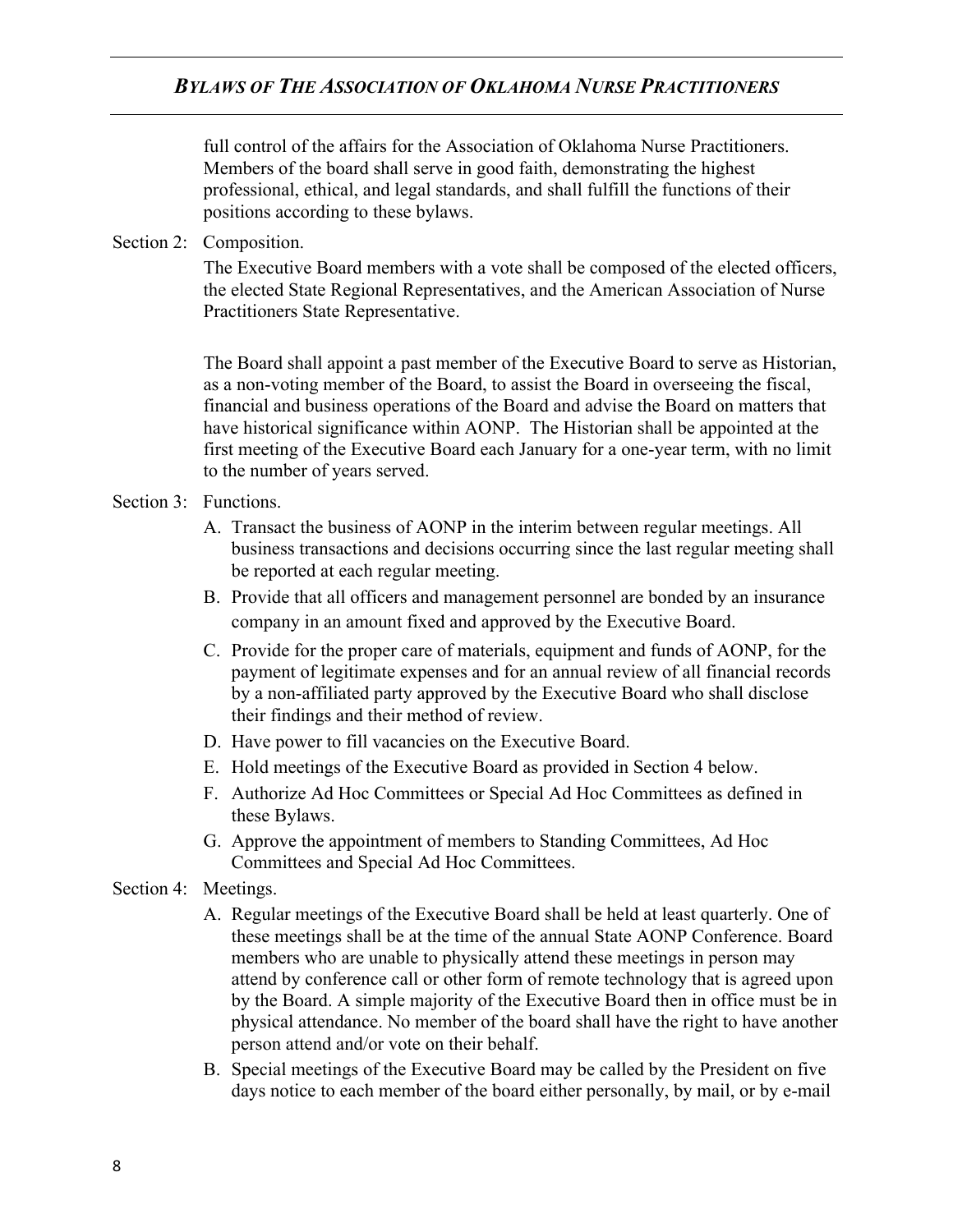full control of the affairs for the Association of Oklahoma Nurse Practitioners. Members of the board shall serve in good faith, demonstrating the highest professional, ethical, and legal standards, and shall fulfill the functions of their positions according to these bylaws.

Section 2: Composition.

The Executive Board members with a vote shall be composed of the elected officers, the elected State Regional Representatives, and the American Association of Nurse Practitioners State Representative.

The Board shall appoint a past member of the Executive Board to serve as Historian, as a non-voting member of the Board, to assist the Board in overseeing the fiscal, financial and business operations of the Board and advise the Board on matters that have historical significance within AONP. The Historian shall be appointed at the first meeting of the Executive Board each January for a one-year term, with no limit to the number of years served.

- Section 3: Functions.
	- A. Transact the business of AONP in the interim between regular meetings. All business transactions and decisions occurring since the last regular meeting shall be reported at each regular meeting.
	- B. Provide that all officers and management personnel are bonded by an insurance company in an amount fixed and approved by the Executive Board.
	- C. Provide for the proper care of materials, equipment and funds of AONP, for the payment of legitimate expenses and for an annual review of all financial records by a non-affiliated party approved by the Executive Board who shall disclose their findings and their method of review.
	- D. Have power to fill vacancies on the Executive Board.
	- E. Hold meetings of the Executive Board as provided in Section 4 below.
	- F. Authorize Ad Hoc Committees or Special Ad Hoc Committees as defined in these Bylaws.
	- G. Approve the appointment of members to Standing Committees, Ad Hoc Committees and Special Ad Hoc Committees.
- Section 4: Meetings.
	- A. Regular meetings of the Executive Board shall be held at least quarterly. One of these meetings shall be at the time of the annual State AONP Conference. Board members who are unable to physically attend these meetings in person may attend by conference call or other form of remote technology that is agreed upon by the Board. A simple majority of the Executive Board then in office must be in physical attendance. No member of the board shall have the right to have another person attend and/or vote on their behalf.
	- B. Special meetings of the Executive Board may be called by the President on five days notice to each member of the board either personally, by mail, or by e-mail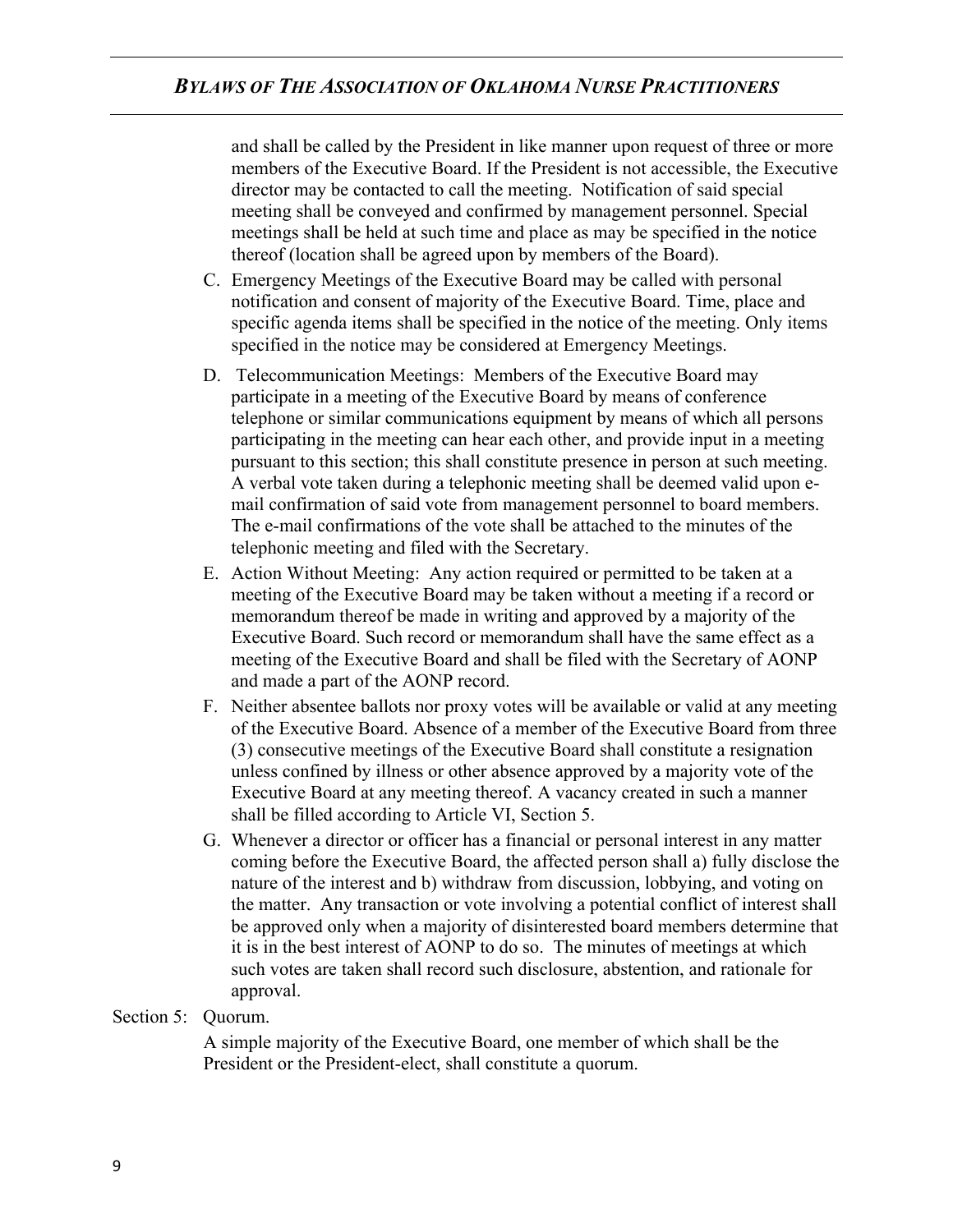and shall be called by the President in like manner upon request of three or more members of the Executive Board. If the President is not accessible, the Executive director may be contacted to call the meeting. Notification of said special meeting shall be conveyed and confirmed by management personnel. Special meetings shall be held at such time and place as may be specified in the notice thereof (location shall be agreed upon by members of the Board).

- C. Emergency Meetings of the Executive Board may be called with personal notification and consent of majority of the Executive Board. Time, place and specific agenda items shall be specified in the notice of the meeting. Only items specified in the notice may be considered at Emergency Meetings.
- D. Telecommunication Meetings: Members of the Executive Board may participate in a meeting of the Executive Board by means of conference telephone or similar communications equipment by means of which all persons participating in the meeting can hear each other, and provide input in a meeting pursuant to this section; this shall constitute presence in person at such meeting. A verbal vote taken during a telephonic meeting shall be deemed valid upon email confirmation of said vote from management personnel to board members. The e-mail confirmations of the vote shall be attached to the minutes of the telephonic meeting and filed with the Secretary.
- E. Action Without Meeting: Any action required or permitted to be taken at a meeting of the Executive Board may be taken without a meeting if a record or memorandum thereof be made in writing and approved by a majority of the Executive Board. Such record or memorandum shall have the same effect as a meeting of the Executive Board and shall be filed with the Secretary of AONP and made a part of the AONP record.
- F. Neither absentee ballots nor proxy votes will be available or valid at any meeting of the Executive Board. Absence of a member of the Executive Board from three (3) consecutive meetings of the Executive Board shall constitute a resignation unless confined by illness or other absence approved by a majority vote of the Executive Board at any meeting thereof. A vacancy created in such a manner shall be filled according to Article VI, Section 5.
- G. Whenever a director or officer has a financial or personal interest in any matter coming before the Executive Board, the affected person shall a) fully disclose the nature of the interest and b) withdraw from discussion, lobbying, and voting on the matter. Any transaction or vote involving a potential conflict of interest shall be approved only when a majority of disinterested board members determine that it is in the best interest of AONP to do so. The minutes of meetings at which such votes are taken shall record such disclosure, abstention, and rationale for approval.

#### Section 5: Quorum.

A simple majority of the Executive Board, one member of which shall be the President or the President-elect, shall constitute a quorum.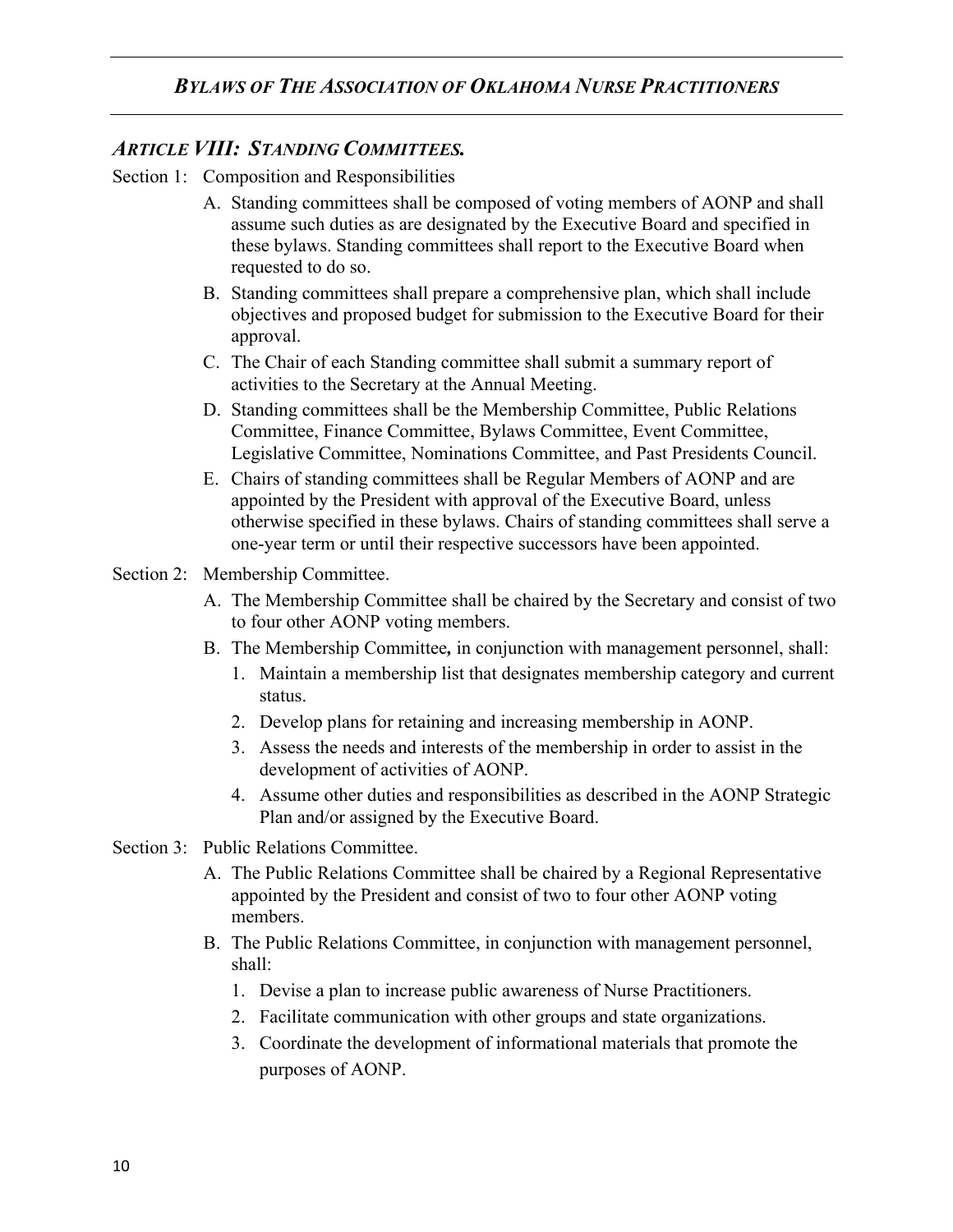## *ARTICLE VIII: STANDING COMMITTEES.*

- Section 1: Composition and Responsibilities
	- A. Standing committees shall be composed of voting members of AONP and shall assume such duties as are designated by the Executive Board and specified in these bylaws. Standing committees shall report to the Executive Board when requested to do so.
	- B. Standing committees shall prepare a comprehensive plan, which shall include objectives and proposed budget for submission to the Executive Board for their approval.
	- C. The Chair of each Standing committee shall submit a summary report of activities to the Secretary at the Annual Meeting.
	- D. Standing committees shall be the Membership Committee, Public Relations Committee, Finance Committee, Bylaws Committee, Event Committee, Legislative Committee, Nominations Committee, and Past Presidents Council.
	- E. Chairs of standing committees shall be Regular Members of AONP and are appointed by the President with approval of the Executive Board, unless otherwise specified in these bylaws. Chairs of standing committees shall serve a one-year term or until their respective successors have been appointed.
- Section 2: Membership Committee.
	- A. The Membership Committee shall be chaired by the Secretary and consist of two to four other AONP voting members.
	- B. The Membership Committee*,* in conjunction with management personnel, shall:
		- 1. Maintain a membership list that designates membership category and current status.
		- 2. Develop plans for retaining and increasing membership in AONP.
		- 3. Assess the needs and interests of the membership in order to assist in the development of activities of AONP.
		- 4. Assume other duties and responsibilities as described in the AONP Strategic Plan and/or assigned by the Executive Board.
- Section 3: Public Relations Committee.
	- A. The Public Relations Committee shall be chaired by a Regional Representative appointed by the President and consist of two to four other AONP voting members.
	- B. The Public Relations Committee, in conjunction with management personnel, shall:
		- 1. Devise a plan to increase public awareness of Nurse Practitioners.
		- 2. Facilitate communication with other groups and state organizations.
		- 3. Coordinate the development of informational materials that promote the purposes of AONP.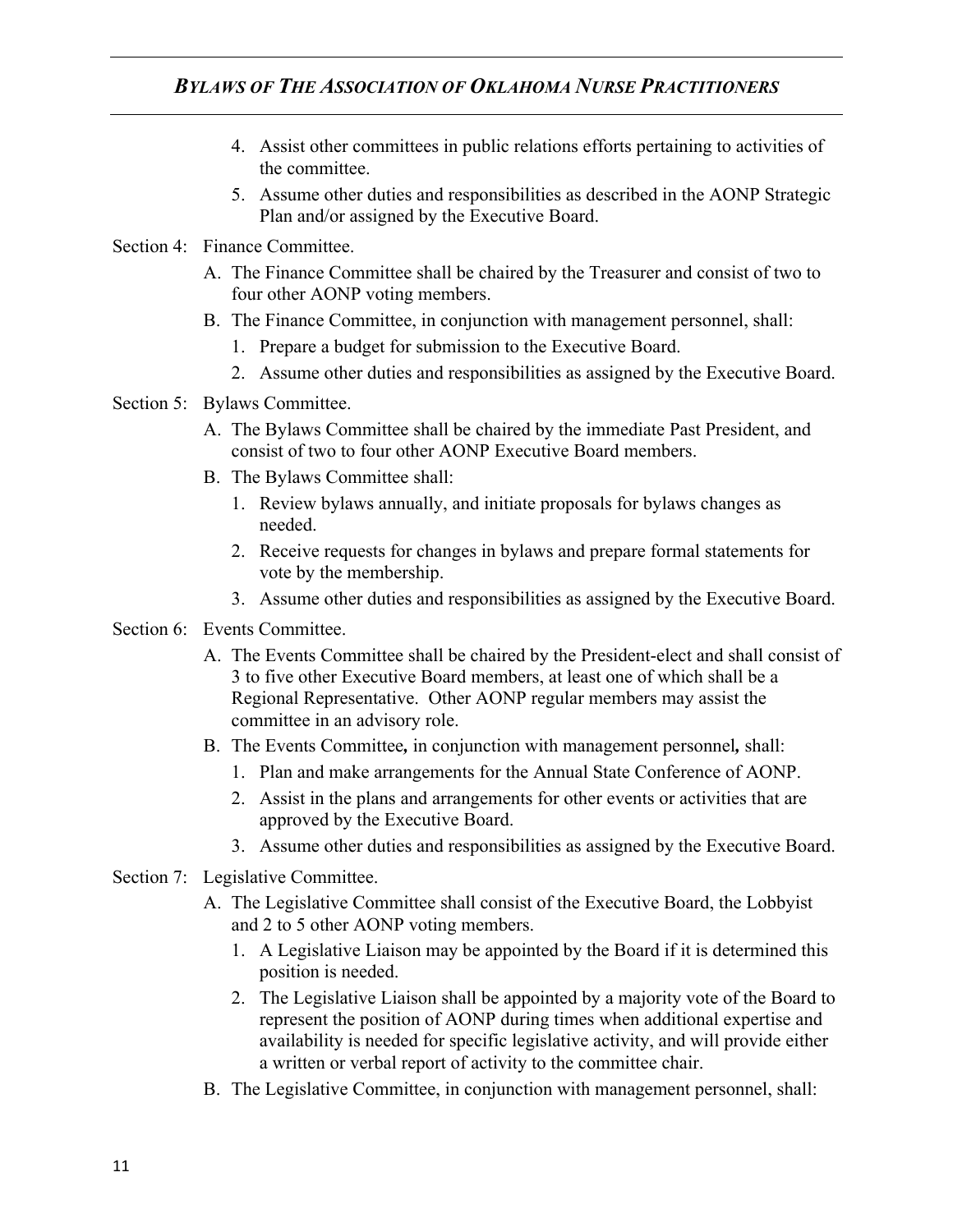## *BYLAWS OF THE ASSOCIATION OF OKLAHOMA NURSE PRACTITIONERS*

- 4. Assist other committees in public relations efforts pertaining to activities of the committee.
- 5. Assume other duties and responsibilities as described in the AONP Strategic Plan and/or assigned by the Executive Board.
- Section 4: Finance Committee.
	- A. The Finance Committee shall be chaired by the Treasurer and consist of two to four other AONP voting members.
	- B. The Finance Committee, in conjunction with management personnel, shall:
		- 1. Prepare a budget for submission to the Executive Board.
		- 2. Assume other duties and responsibilities as assigned by the Executive Board.
- Section 5: Bylaws Committee.
	- A. The Bylaws Committee shall be chaired by the immediate Past President, and consist of two to four other AONP Executive Board members.
	- B. The Bylaws Committee shall:
		- 1. Review bylaws annually, and initiate proposals for bylaws changes as needed.
		- 2. Receive requests for changes in bylaws and prepare formal statements for vote by the membership.
		- 3. Assume other duties and responsibilities as assigned by the Executive Board.
- Section 6: Events Committee.
	- A. The Events Committee shall be chaired by the President-elect and shall consist of 3 to five other Executive Board members, at least one of which shall be a Regional Representative. Other AONP regular members may assist the committee in an advisory role.
	- B. The Events Committee*,* in conjunction with management personnel*,* shall:
		- 1. Plan and make arrangements for the Annual State Conference of AONP.
		- 2. Assist in the plans and arrangements for other events or activities that are approved by the Executive Board.
		- 3. Assume other duties and responsibilities as assigned by the Executive Board.
- Section 7: Legislative Committee.
	- A. The Legislative Committee shall consist of the Executive Board, the Lobbyist and 2 to 5 other AONP voting members.
		- 1. A Legislative Liaison may be appointed by the Board if it is determined this position is needed.
		- 2. The Legislative Liaison shall be appointed by a majority vote of the Board to represent the position of AONP during times when additional expertise and availability is needed for specific legislative activity, and will provide either a written or verbal report of activity to the committee chair.
	- B. The Legislative Committee, in conjunction with management personnel, shall: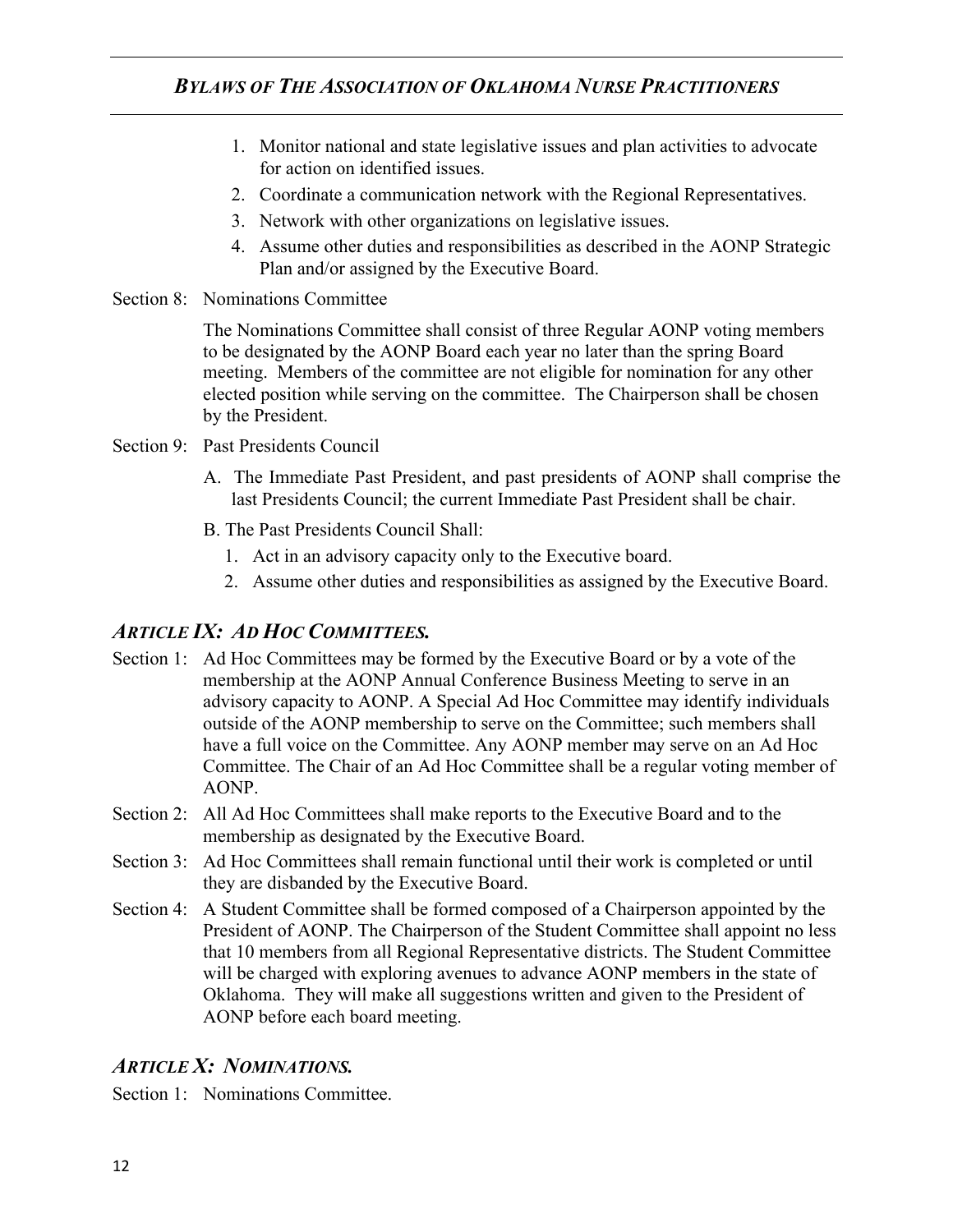- 1. Monitor national and state legislative issues and plan activities to advocate for action on identified issues.
- 2. Coordinate a communication network with the Regional Representatives.
- 3. Network with other organizations on legislative issues.
- 4. Assume other duties and responsibilities as described in the AONP Strategic Plan and/or assigned by the Executive Board.
- Section 8: Nominations Committee

The Nominations Committee shall consist of three Regular AONP voting members to be designated by the AONP Board each year no later than the spring Board meeting. Members of the committee are not eligible for nomination for any other elected position while serving on the committee. The Chairperson shall be chosen by the President.

- Section 9: Past Presidents Council
	- A. The Immediate Past President, and past presidents of AONP shall comprise the last Presidents Council; the current Immediate Past President shall be chair.
	- B. The Past Presidents Council Shall:
		- 1. Act in an advisory capacity only to the Executive board.
		- 2. Assume other duties and responsibilities as assigned by the Executive Board.

# *ARTICLE IX: AD HOC COMMITTEES.*

- Section 1: Ad Hoc Committees may be formed by the Executive Board or by a vote of the membership at the AONP Annual Conference Business Meeting to serve in an advisory capacity to AONP. A Special Ad Hoc Committee may identify individuals outside of the AONP membership to serve on the Committee; such members shall have a full voice on the Committee. Any AONP member may serve on an Ad Hoc Committee. The Chair of an Ad Hoc Committee shall be a regular voting member of AONP.
- Section 2: All Ad Hoc Committees shall make reports to the Executive Board and to the membership as designated by the Executive Board.
- Section 3: Ad Hoc Committees shall remain functional until their work is completed or until they are disbanded by the Executive Board.
- Section 4: A Student Committee shall be formed composed of a Chairperson appointed by the President of AONP. The Chairperson of the Student Committee shall appoint no less that 10 members from all Regional Representative districts. The Student Committee will be charged with exploring avenues to advance AONP members in the state of Oklahoma. They will make all suggestions written and given to the President of AONP before each board meeting.

# *ARTICLE X: NOMINATIONS.*

Section 1: Nominations Committee.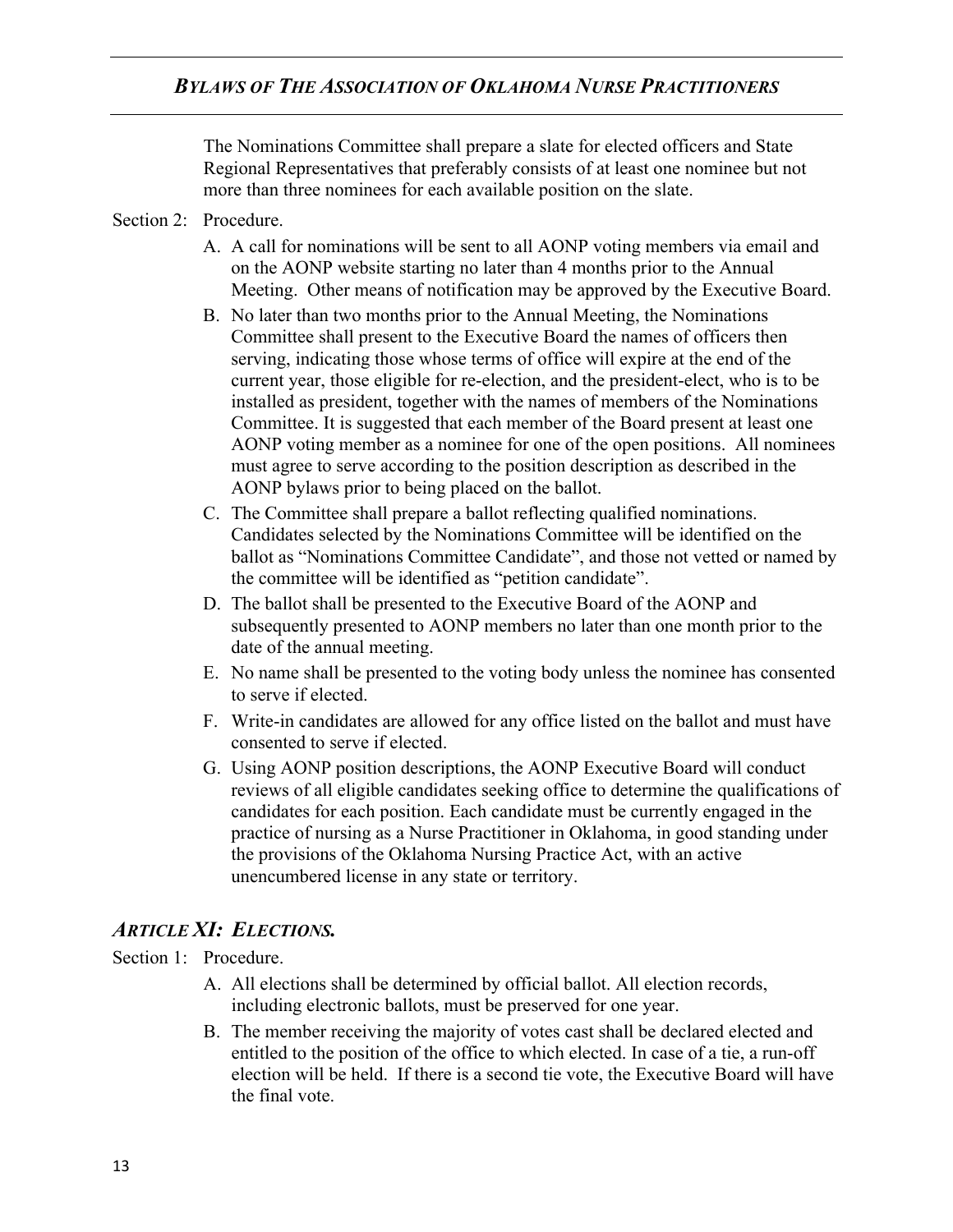The Nominations Committee shall prepare a slate for elected officers and State Regional Representatives that preferably consists of at least one nominee but not more than three nominees for each available position on the slate.

### Section 2: Procedure.

- A. A call for nominations will be sent to all AONP voting members via email and on the AONP website starting no later than 4 months prior to the Annual Meeting. Other means of notification may be approved by the Executive Board.
- B. No later than two months prior to the Annual Meeting, the Nominations Committee shall present to the Executive Board the names of officers then serving, indicating those whose terms of office will expire at the end of the current year, those eligible for re-election, and the president-elect, who is to be installed as president, together with the names of members of the Nominations Committee. It is suggested that each member of the Board present at least one AONP voting member as a nominee for one of the open positions. All nominees must agree to serve according to the position description as described in the AONP bylaws prior to being placed on the ballot.
- C. The Committee shall prepare a ballot reflecting qualified nominations. Candidates selected by the Nominations Committee will be identified on the ballot as "Nominations Committee Candidate", and those not vetted or named by the committee will be identified as "petition candidate".
- D. The ballot shall be presented to the Executive Board of the AONP and subsequently presented to AONP members no later than one month prior to the date of the annual meeting.
- E. No name shall be presented to the voting body unless the nominee has consented to serve if elected.
- F. Write-in candidates are allowed for any office listed on the ballot and must have consented to serve if elected.
- G. Using AONP position descriptions, the AONP Executive Board will conduct reviews of all eligible candidates seeking office to determine the qualifications of candidates for each position. Each candidate must be currently engaged in the practice of nursing as a Nurse Practitioner in Oklahoma, in good standing under the provisions of the Oklahoma Nursing Practice Act, with an active unencumbered license in any state or territory.

# *ARTICLE XI: ELECTIONS.*

### Section 1: Procedure.

- A. All elections shall be determined by official ballot. All election records, including electronic ballots, must be preserved for one year.
- B. The member receiving the majority of votes cast shall be declared elected and entitled to the position of the office to which elected. In case of a tie, a run-off election will be held. If there is a second tie vote, the Executive Board will have the final vote.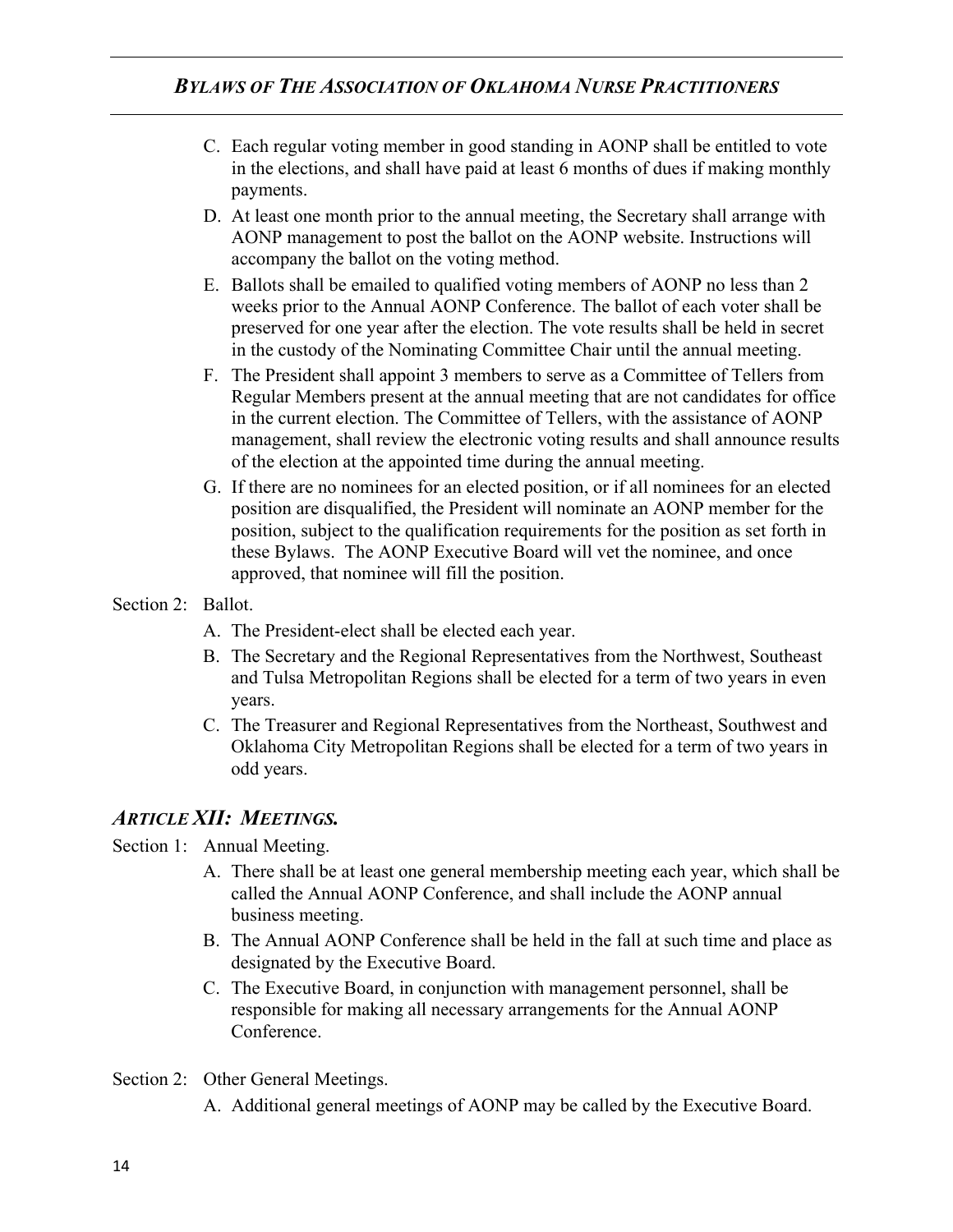- C. Each regular voting member in good standing in AONP shall be entitled to vote in the elections, and shall have paid at least 6 months of dues if making monthly payments.
- D. At least one month prior to the annual meeting, the Secretary shall arrange with AONP management to post the ballot on the AONP website. Instructions will accompany the ballot on the voting method.
- E. Ballots shall be emailed to qualified voting members of AONP no less than 2 weeks prior to the Annual AONP Conference. The ballot of each voter shall be preserved for one year after the election. The vote results shall be held in secret in the custody of the Nominating Committee Chair until the annual meeting.
- F. The President shall appoint 3 members to serve as a Committee of Tellers from Regular Members present at the annual meeting that are not candidates for office in the current election. The Committee of Tellers, with the assistance of AONP management, shall review the electronic voting results and shall announce results of the election at the appointed time during the annual meeting.
- G. If there are no nominees for an elected position, or if all nominees for an elected position are disqualified, the President will nominate an AONP member for the position, subject to the qualification requirements for the position as set forth in these Bylaws. The AONP Executive Board will vet the nominee, and once approved, that nominee will fill the position.
- Section 2: Ballot.
	- A. The President-elect shall be elected each year.
	- B. The Secretary and the Regional Representatives from the Northwest, Southeast and Tulsa Metropolitan Regions shall be elected for a term of two years in even years.
	- C. The Treasurer and Regional Representatives from the Northeast, Southwest and Oklahoma City Metropolitan Regions shall be elected for a term of two years in odd years.

## *ARTICLE XII: MEETINGS.*

### Section 1: Annual Meeting.

- A. There shall be at least one general membership meeting each year, which shall be called the Annual AONP Conference, and shall include the AONP annual business meeting.
- B. The Annual AONP Conference shall be held in the fall at such time and place as designated by the Executive Board.
- C. The Executive Board, in conjunction with management personnel, shall be responsible for making all necessary arrangements for the Annual AONP Conference.
- Section 2: Other General Meetings.
	- A. Additional general meetings of AONP may be called by the Executive Board.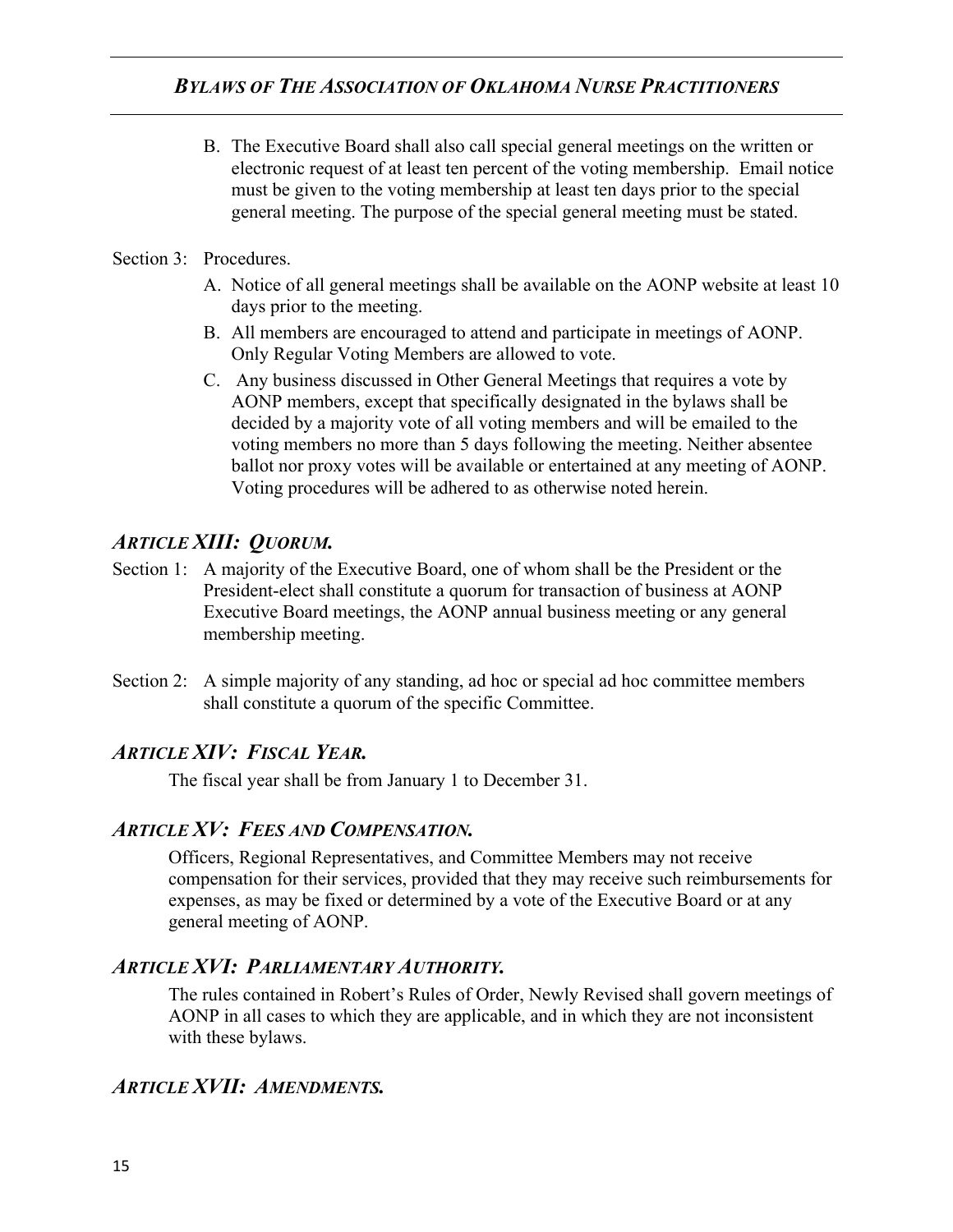B. The Executive Board shall also call special general meetings on the written or electronic request of at least ten percent of the voting membership. Email notice must be given to the voting membership at least ten days prior to the special general meeting. The purpose of the special general meeting must be stated.

#### Section 3: Procedures.

- A. Notice of all general meetings shall be available on the AONP website at least 10 days prior to the meeting.
- B. All members are encouraged to attend and participate in meetings of AONP. Only Regular Voting Members are allowed to vote.
- C. Any business discussed in Other General Meetings that requires a vote by AONP members, except that specifically designated in the bylaws shall be decided by a majority vote of all voting members and will be emailed to the voting members no more than 5 days following the meeting. Neither absentee ballot nor proxy votes will be available or entertained at any meeting of AONP. Voting procedures will be adhered to as otherwise noted herein.

# *ARTICLE XIII: QUORUM.*

- Section 1: A majority of the Executive Board, one of whom shall be the President or the President-elect shall constitute a quorum for transaction of business at AONP Executive Board meetings, the AONP annual business meeting or any general membership meeting.
- Section 2: A simple majority of any standing, ad hoc or special ad hoc committee members shall constitute a quorum of the specific Committee.

## *ARTICLE XIV: FISCAL YEAR.*

The fiscal year shall be from January 1 to December 31.

## *ARTICLE XV: FEES AND COMPENSATION.*

Officers, Regional Representatives, and Committee Members may not receive compensation for their services, provided that they may receive such reimbursements for expenses, as may be fixed or determined by a vote of the Executive Board or at any general meeting of AONP.

## *ARTICLE XVI: PARLIAMENTARY AUTHORITY.*

The rules contained in Robert's Rules of Order, Newly Revised shall govern meetings of AONP in all cases to which they are applicable, and in which they are not inconsistent with these bylaws.

## *ARTICLE XVII: AMENDMENTS.*